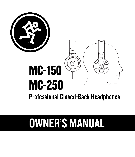

Professional Closed-Back Headphones

# OWNER'S MANUAL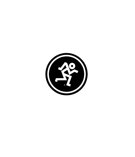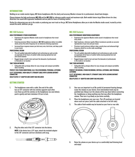## INTRODUCTION

Building on our studio monitor legacy, MC Series headphones offer the clarity and accuracy Mackie is known for in professional, closed-back designs.

Choose between the high-performance MC-150 and the MC-250 for reference quality sound and maximum style. Both models feature large 50mm drivers for clear,<br>distortion-free sound with ergonomic headbands and ear pads for hou

Perfect for referencing your mix in the studio or producing your next track on the go, MC Series Headphones allow you to take the Mackie studio sound, trusted by artists around the world, wherever you go.

## MC-150 Features

#### HIGH-PERFORMANCE STUDIO HEADPHONES

- Experience the signature Mackie studio sound in headphones that reveal every detail
- Featuring precision 50mm transducers, MC-150 headphones deliver incredible clarity across the entire frequency for an immersive listening experience
- Increased bass response means you feel every note, kick drum, and deep synth in your music

#### PROFESSIONAL DESIGN

- The soft padded adjustable headband and conforming ear pads provide an ergonomic fit for hours of comfort while ensuring optimal low-end and sound isolation
- Rugged design is built to last and meet the demands of professionals in thestudio or on location

#### TAKE THEM ANYWHERE

• Collapsible fold-up design allows for easy storage and compact portability when travelling

## PERFECT FOR STUDIO MONITORING, DJS, FIELD RECORDING, PERSONAL LISTENING 9.8 FT. DETACHABLE, HIGH-QUALITY, STRAIGHT CABLE WITH LOCKING BAYONET CONNECTOR

#### GOLD PLATED 1/4" ADAPTER AND CARRY BAG INCLUDED

## GETTING STARTED

1. The headphones come with a cable. One end of the cable has an 1/8" connector with two notches opposite each other. Line these up with the notches on the headphones (as seen below), push in gently and twist clockwise 1/4 turn to lock.



2. Plug the other end of the 1/8" connector into the device. NOTE: if the device has a 1/4" input, attach the included adapter to the 1/8" connector and turn clockwise until snug.

**OUT** to 门 **GEGEGE** 

## MC-250 Features

#### HIGH-PERFORMANCE MONITORING HEADPHONES

- Experience the signature Mackie studio sound in headphones that reveal every detail
- High-headroom, reference-quality 50mm transducers provide an accurate reproduction of your mix and your music
- Precision-tuned enclosure delivers deep, punchy bass and enhanced high frequency detail for an ultra-wide soundstage

#### PROFESSIONAL DESIGN

- The soft padded adjustable headband and conforming ear pads provide an ergonomic fit for hours of comfort while ensuring optimal low-end and sound isolation
- Rugged design is built to last and meet the demands of professionals in the studio or on location

#### TAKE THEM ANYWHERE

• Collapsible fold-up design allows for easy storage and compact portability when travelling

#### PERFECT FOR MIXING, STUDIO RECORDING, CRITICAL LISTENING, AND PERSONAL LISTENING

#### 9.8 FT. DETACHABLE, HIGH-QUALITY, STRAIGHT CABLE WITH LOCKING BAYONET CONNECTOR

GOLD PLATED 1/4" ADAPTER AND CARRY BAG INCLUDED

- 3. Your ears are important to us! Be careful of permanent hearing damage. Lower the volume on your device. Even intermediate levels may be painfully loud. Always turn the volume all the way down before connecting the headphones or doing anything new that may affect the headphone volume. Then turn it up slowly as you listen carefully.
- 4. Place the headphones over your ears. The L/R markings are located above each ear piece (with the cable attached to the left side).
- 5. The cable of both models may be located on your front or rear side.



6. Raise the volume on your device up to a comfortably loud listening level and enjoy!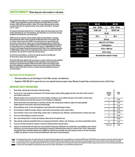# LIMITED WARRANTY Please keep your sales receipt in a safe place.

This Limited Product Warranty ("Product Warranty") is provided by LOUD Audio, LLC ("LOUD") and is applicable to products purchased in the United States or Canada through a LOUD-authorized reseller or dealer. The Product Warranty will not extend to anyone other than the original purchaser of the product (hereinafter, "Customer," "you" or "your").

For products purchased outside the U.S. or Canada, please visit www.mackie.com to find contact information for your local distributor, and information on any warranty coverage provided by the distributor in your local market.

LOUD warrants to Customer that the product will be free from defects in materials and workmanship under normal use during the Warranty Period. If the product fails to conform to the warranty then LOUD or its authorized service representative will at its option, either repair or replace any such nonconforming product, provided that Customer gives notice of the noncompliance within the Warranty Period to the Company at: www.mackie.com or by calling LOUD technical support at 1.800.898.3211 (toll-free in the U.S. and Canada) during normal business hours Pacific Time, excluding weekends or LOUD holidays. Please retain the original dated sales receipt as evidence of the date of purchase. You will need it to obtain any warranty service.

For full terms and conditions, as well as the specific duration of the Warranty for this product, please visit www.mackie.com.

The Product Warranty, together with your invoice or receipt, and the terms and conditions located at www.mackie.com constitutes the entire agreement, and supersedes any and all prior agreements between LOUD and Customer related to the subject matter hereof. No amendment, modification or waiver of any of the provisions of this Product Warranty will be valid unless set forth in a written instrument signed by the party to be bound thereby.

| <b>Technical Specifications</b> | <b>MC-150</b>                        | <b>MC-250</b>  |
|---------------------------------|--------------------------------------|----------------|
| <b>Frequency Response</b>       | 15 Hz - 20 kHz                       | 10 Hz - 20 kHz |
| Sensitivity                     | 93 dB / mW                           | 100 dB $/$ mW  |
| <b>Maximum Input Power</b>      | 20 mW                                |                |
| Impedance                       | $33\Omega$                           | $38\,\Omega$   |
| <b>Drive Type</b>               | <b>Dynamic</b>                       |                |
| <b>Input Type</b>               | Male 1/8" or 1/4" Stereo             |                |
| <b>Output Type</b>              | <b>L/R Headphones</b>                |                |
| <b>Cable Length</b>             | 117.6 in • 2987 mm                   |                |
| Weight                          | $0.6$ lb $\cdot$ 0.3 kg              |                |
|                                 | All specifications subject to change |                |

## Need help with the Headphones?

- Visit www.mackie.com and click Support to find: FAQs, manuals, and addendums.
- Telephone 1-800-898-3211 to speak with one of our splendid technical support chaps (Monday through Friday, normal business hours, Pacific Time).

## IMPORTANT SAFETY INSTRUCTIONS

- 1. Read, follow, and keep these instructions. Heed all warnings.
- 2. Do not use in or near dangerous environments. This includes driving, cycling, walking, jogging and other areas where traffic is present and accidents could occur.
- 3. Keep this product and its accessories out of reach of children. Handling or use by children may pose a risk of death or serious injury. Contains small parts and cords that may pose a risk of choking or strangulation.
- 4. Set the volume level of the audio device to a minimum, and then, after connecting the earphones, adjust the volume gradually. Sudden exposure to loud noises could cause hearing damage.
- 5. Keep headphones clean. To clean the headphones, wash outside with a mild detergent solution.
- 6. Do not attempt to modify this product. Doing so could result in personal injury and/or product failure.
- 7. Do not immerse in water, such as while taking a shower, bath, or washing your face. Otherwise, sound deterioration or failures may result.
- 8. Do not use while sleeping as accidents may result.
- 9. Use a slow twisting motion to remove the earphones. Never pull on the earphone cord.
- 10. Stop using the earphones immediately if they are causing great discomfort, irritation, rash, discharge, or any other uncomfortable reaction.
- 11. If you are currently receiving ear treatment, consult your physician before using this device.
- 12. Exposure to extremely high noise levels may cause permanent hearing loss. Individuals vary considerably in susceptibility to noise-induced hearing loss, but nearly everyone will lose some hearing if exposed to sufficiently intense noise for a period of time. The U.S. Government's Occupational Safety and Health Administration (OSHA) has specified the permissible noise level exposures shown in the chart. According to OSHA, any exposure in excess of these permissible limits could result in some hearing loss.



Correct disposal of this product: This symbol indicates that this product should not be disposed of with your household waste, according to the WEEE directive (2012/19/EU) and your pational law. This product should be hand to an authorized collection site for recycling waste electrical and electronic equipment (EEE). Improper handling of this type of waste could have a possible negative impact on the environment and human health due to poten hazardous substances that are generally associated with EEE. At the same time, your cooperation in the correct disposal of this product will contribute to the effective usage of natural resources. For more information abou can drop off your waste equipment for recycling, please contact your local city office, waste authority, or your household waste disposal service.

| Duration,<br>per day in<br>hours | Sound<br>Level |
|----------------------------------|----------------|
| 8                                | 90 dB          |
| 6                                | 92 dB          |
| 4                                | 95 dB          |
| 3                                | 97 dB          |
| $\overline{c}$                   | 100 dB         |
| 1.5                              | 102 dB         |
| 1                                | 105 dB         |
| 0.5                              | 110 dB         |
| $0.25$ or less                   | 115 dB         |

I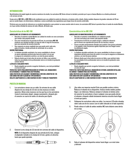## INTRODUCCIÓN

Beneficiándose del amplio legado de nuestros monitores de estudio, los auriculares MC Series ofrecen la claridad y precisión por la que es famosa Mackie en un diseño profesional y de carcasa cerrada.

Escoja entre el MC-150 y el MC-250 de alto rendimiento para una calidad de sonido de referencia y el máximo estilo y diseño. Ambos modelos disponen de grandes cabezales de 50 mm para un sonido limpio y sin distorsiones y diademas y cascos acolchados muy ergonómicas para largas horas de escucha confortable.

Perfectos para una mezcla de referencia en su estudio de grabación o para producir su nueva canción sobre la marca, los auriculares MC Series le permiten llevar el sonido de estudio Mackie, en el que confían infinidad de músicos de todo el Mundo, allí donde vaya.

## Características de los MC-150

## AURICULARES DE ESTUDIO DE ALTO RENDIMIENTO

- Descubra el auténtico sonido Mackie con calidad de estudio con unos auriculares que revelan cada pequeño detalle
- Con unos transductores de precisión de 50 mm, los auriculares MC-150 producen una claridad increíble a lo largo de todo el rango de frecuencias para una sensación de escucha inmersiva
- Una respuesta en graves ampliada hace que pueda sentir cada nota, golpe de bombo y sonido profundo de sintetizador de su música

### DISEÑO PROFESIONAL

- La diadema ajustable acolchada y los cascos amoldables le ofrecen un ajuste ergonómico perfecto para horas de confort a la vez que le aseguran un aislamiento acústico y un nivel de graves óptimos
- Robusto diseño que le dará años de servicio sin fallos y que satisfará todas las necesidades de los profesionales tanto en el estudio de grabación comoen directo

## LLÉVELOS A CUALQUIER PARTE

• Diseño plegable que permite recogerlos fácilmente y una total portabilidad a la hora de viajar

## PERFECTOS TANTO PARA MONITORIZACIÓN DE ESTUDIO, DJS, GRABACIONES EN EXTERIORES Y TAMBIÉN PARA USO PERSONAL

## CABLE RECTO DE ALTA CALIDAD Y DESMONTABLE CON UNA LONGITUD DE 3 M. CON CONECTOR CON FIJACIÓN DE TIPO BAYONETA

INCLUYE ADAPTADOR DE 6,3 MM CHAPADO EN ORO Y FUNDA DE TRANSPORTE

## PUESTA EN MARCHA

1. Los auriculares vienen con un cable. Un extremo de ese cable dispone de una clavija de 3,5 mm con dos muescas en lados opuestos. Alinee estas muescas con las que hay en los auriculares (como le mostramos abajo), empuje suavemente y después gire el conector un cuarto de vuelta a la derecha para fijarlo.



2. Conecte la otra clavija de 3,5 mm del otro extremo del cable al dispositivo.

 NOTA: Si el dispositivo dispone de una entrada de 6,3 mm, coloque el adaptador incluido en la clavija de 3,5 mm y gírela a la derecha hasta que quede ajustada.

## Características de los MC-250

### AURICULARES DE MONITORIZACIÓN DE ALTO RENDIMIENTO

- Descubra el auténtico sonido Mackie con calidad de estudio con unos auriculares que revelan cada pequeño detalle
- Transductores de 50 mm con amplio margen y calidad de referencia que le ofrecen una reproducción precisa de sus mezclas y música
- Cascos cerrados perfectamente afinados para producir unos graves profundos y con pegada y unas frecuencias agudas mejoradas para una imagen sonora increíblemente amplia

### DISEÑO PROFESIONAL

- La diadema ajustable acolchada y los cascos amoldables le ofrecen un ajuste ergonómico perfecto para horas de confort a la vez que le aseguran un aislamiento acústico y un nivel de graves óptimos
- Robusto diseño que le dará años de servicio sin fallos y que satisfará todas las necesidades de los profesionales tanto en el estudio de grabación como en directo

## LLÉVELOS A CUALQUIER PARTE

• Diseño plegable que permite recogerlos fácilmente y una total portabilidad a la hora de viajar

#### PERFECTOS TANTO PARA MEZCLAS, GRABACIÓN DE ESTUDIO, AUDICIÓN DETALLADA DE SONIDO Y TAMBIÉN PARA USO PERSONAL

#### CABLE RECTO DE ALTA CALIDAD Y DESMONTABLE CON UNA LONGITUD DE 3 M. CON CONECTOR CON FIJACIÓN DE TIPO BAYONETA

## INCLUYE ADAPTADOR DE 6,3 MM CHAPADO EN ORO Y FUNDA DE TRANSPORTE

- 3. ¡Sus oídos nos importan mucho! Evite una posible sordera crónica. Reduzca el volumen de su dispositivo. Incluso niveles medios pueden llegar a ser dolorosos. Reduzca siempre el volumen al mínimo antes de conectar los auriculares o hacer cualquier cosa que pueda afectar al volumen y después súbalo lentamente mientras escucha hasta llegar al nivel que quiera.
- 4. Colóquese los auriculares sobre sus oídos. Las marcas L/R están situadas sobre cada uno de los cascos (con el cable colocado en el lado izquierdo).
- 5. Puede colocar el cable de ambos modelos MC tanto delante como detrás de su oreja.



6. Suba el volumen del dispositivo emisor hasta llegar a un nivel cómo y disfrute!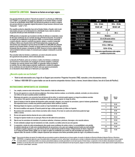# GARANTÍA LIMITADA Conserve su factura en un lugar seguro.

Esta garantía limitada de producto ("Garantía de producto") es ofrecida por LOUD Audio, LLC ("LOUD") y es aplicable a los productos adquiridos en los Estados Unidos o Canadá a través de un distribuidor oficial LOUD. Esta Garantía de producto no cubrirá a ninguna otra persona distinta al comprador original del producto (al que haremos referencia como "Comprador", "usted" o "tú").

Para aquellos productos adquiridos fuera de los Estados Unidos o Canadá, visite la web www.mackie.com para ver la información de su distribuidor local y sobre la cobertura en garantía ofrecida por dicho distribuidor en ese país.

LOUD garantiza al comprador que el producto está libre de defectos en materiales y mano de obra bajo condiciones de uso normales durante el Periodo de Garantía. Si el producto no cumple con lo establecido en esta garantía, LOUD o su servicio técnico autorizado, a nuestra elección, reparará o sustituirá ese aparato, siempre y cuando el comprador notifique a fábrica esa situación dentro del Periodo de Garantía a través de la web: www.mackie.com o llamando al servicio técnico de LOUD en el 1.800.898.3211 (llamada gratuita en los Estados Unidos y Canadá) en horario comercial de la Costa del Pacífico, excluyendo fines de semana o vacaciones de LOUD. Conserve la factura original sellada como pruebade la fecha de compra. Es necesaria para cualquier reclamación en periodo de garantía.

Para consultar todos los términos y condiciones, así como la duración concreta de la garantía de este producto, visite la www.mackie.com.

La Garantía de Producto, junto con su factura o recibo y los términos y condiciones que encontrará en www.mackie.com constituyen el contrato completo y sustituyen a cualquier otro contrato anterior entre LOUD y el comprador relativo al producto en cuestión. No será válida ninguna enmienda, modificación o cambio de cualquiera de las condiciones de esta Garantía de Producto salvo que aparezca previamente en un documento oficial sellado por el fabricante y/o responsable.

| Especificaciones técnicas  | <b>MC-150</b>                                                            | <b>MC-250</b>      |
|----------------------------|--------------------------------------------------------------------------|--------------------|
| Respuesta de frecuencia    | 15 Hz - 20 kHz                                                           | $10$ Hz $-$ 20 kHz |
| Sensibilidad               | 93 dB / mW                                                               | 100 dB $/$ mW      |
| Máxima potencia de entrada | <b>20 mW</b>                                                             |                    |
| Impedancia                 | $33\Omega$                                                               | $38\,\Omega$       |
| Tipo de cabezal            | <b>Dinámico</b>                                                          |                    |
| Tipo de entrada            | 3,5 o 6,35 macho estéreo                                                 |                    |
| Tipo de salidas            | <b>L/R Auriculares</b>                                                   |                    |
| Longitud del cable         | 117.6 in • 2987 mm                                                       |                    |
| Peso                       | $0.6$ lb $\cdot$ 0.3 kg                                                  |                    |
|                            | Todas estas especificaciones están sujetas<br>a cambios sin previo aviso |                    |

Duración diaría en horas

0,25 o

Nivel de sonido

 $115 dB$ 

8 90 dB 6 92 dB 4 95 dB  $3$  97 dB 2 100 dB 1,5 | 102 dB 1 105 dB 0,5 110 dB

## ¿Necesita ayuda con sus Earbuds?

- Visite la web www.mackie.com y haga clic en Support para encontrar: Preguntas frecuentes (FAQ), manuales y otros documentos anexos.
- Teléfono 1-800-898-3211 si quiere hablar con uno de nuestros estupendos técnicos (lunes a viernes, horario laboral clásico, hora de la Costa del Pacífico).

## INSTRUCCIONES IMPORTANTES DE SEGURIDAD

- 1. Lea, cumpla y conserve estas instrucciones. Preste atención a todas las advertencias.
- 2. No use este aparato en o cerca de entornos peligrosos. Esto incluye mientras conduce, va en bicicleta, andando, corriendo y en otros entornos con tráfico en los que se puedan producir accidentes.
- 3. Mantenga este aparato y sus accesorios fuera del alcance de los niños. Lo contrario puede suponer un riesgo de accidentes mortales o muy graves. Este aparato contiene piezas pequeñas y cables que pueden suponer un riesgo de asfixia.
- 4. Ajuste al mínimo el nivel de volumen del dispositivo audio conectado y después, tras conectar los auriculares, ajuste el volumen gradualmente. Una exposición brusca a sonidos muy potentes puede producir daños auditivos (sordera).
- 5. Mantenga limpios los tapones y auriculares usando un trapo humedecido en agua jabonosa.
- 6. No trate de modificar este aparato. El hacerlo puede dar lugar a daños personales y/o fallos en el aparato.
- 7. No sumerja estos auriculares, como al darse una ducha, baño o lavarse. El no tener en cuenta esta advertencia puede dar lugar afallos o averías.
- 8. No use este aparato mientras duerme de cara a evitar accidentes.
- 9. Extraiga los tapones tirando con un suave giro. Nunca tire del cable de los auriculares.
- 10. Deje de usar los auriculares de inmediato si le producen molestias, irritaciones, pinchazos, descargas u otra reacción adversa.
- 11. Si está recibiendo cualquier tipo de tratamiento en el oído, consulte a su médico antes de usar este aparato.
- 12. La exposición a niveles de ruido extremadamente altos puede causar problemas de sordera crónica. La susceptibilidad a esta pérdida de audición inducida por el ruido varía considerablemente de una persona a otra, pero casi cualquier persona tendrá una cierta pérdida de audición al quedar expuestos a un ruido intenso durante un determinado periodo de tiempo. El Departamento de Salud y Seguridad en el Trabajo de Estados Unidos (OSHA, por sus siglas en inglés) ha establecido unos niveles de ruido permisibles que aparecen en la siguiente tabla. De acuerdo a la OSHA, cualquier exposición que sobrepase estos límites permisibles puede dar lugar a un problema de sordera.



Forma correcta de eliminar este aparato: Este símbolo indica que este producto no puede ser eliminado junto con la basura orgánica, de acuerdo a lo indicado en la Directiva de Residuos de Aparatos Eléctricos y Electrónicos (2012/19/EU) y a la legislación vigente de su país. Este producto debe ser entregado en uno de los "puntos limpios" autorizados para su reciclaje. La eliminación inadecuada de este tipo de residuos puede tener un impacto n en el medio ambiente y la salud humana debido a las sustancias potencialmente peligrosas asociadas generalmente con este tipo de aparatos. Al mismo tiempo, su cooperación a la hora de eliminar adecuadamente este producto contribuirá a un uso más eficaz de los recursos naturales. Para más información acerca la correcta eliminación de este tipo de aparatos, póngase en contacto con el Ayuntamiento de su ciudad, empresa local de recogida de ba con uno de los "puntos limpios" autorizados.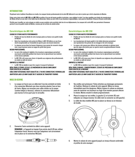## INTRODUCTION

Perpétuant notre tradition d'excellence en studio, les casques fermés professionnels de la série MC délivrent le son clair et précis qui a fait la réputation de Mackie.

Faites votre choix entre le MC-150 et le MC-250 et profitez d'un son de hautes qualité et précision, sans négliger le style ! Les deux modèles sont dotés de transducteurs<br>de 50mm offrant un son clair à très faible taux de

Parfaits pour travailler sur votre mixage en studio ou pour produire votre prochain tube lors de vos déplacements, les casques de la série MC vous permettent d'emmener partout le son de qualité studio de Mackie, reconnu par les artistes du monde entier.

## Caractéristiques des MC-150

#### CASQUE DE STUDIO HAUTES PERFORMANCES

- Profitez de tous les détails de votre musique grâce au fameux son qualité studio de Mackie
- Doté d'un transducteur ultra précis de 50mm, le MC-150 délivre un son d'une clarté exceptionnelle sur l'ensemble du spectre pour une écoute immersive
- La réponse accrue dans les basses fréquences vous permet de ressentir chaque note, coup de grosse caisse ou nappe de synthé bien grasse

#### DESIGN PROFESSIONNEL

- Le serre-tête rembourré réglable et les écouteurs ergonomiques permettent une écoute confortable pendant des heures tout en garantissant une isolation et des basses optimales
- Le MC-150 a été conçu pour durer et répondre aux exigences des professionnels en studio ou salle de concert

### EMPORTEZ-LE PARTOUT

• Le MC-150 est pliable et peut être rangé et transporté facilement

### IDÉAL POUR LE STUDIO, LES DJS, LES INGÉNIEURS DU SON OU SIMPLEMENT POUR ÉCOUTER DE LA MUSIQUE

CÂBLE DROIT DÉTACHABLE HAUTE QUALITÉ DE 2,7 M AVEC CONNECTEUR À VERROUILLAGE ADAPTATEUR JACK 6,35 MM PLAQUÉ OR ET SACOCHE DE TRANSPORT FOURNIS

## MISE EN ŒUVRE

1. Le casque est fourni avec un câble dont l'une des extrémité est dotée d'un connecteur MiniJack avec deux encoches placées l'une en face de l'autre. Alignez ces encoches avec celles situées sur le casque (comme indiqué ci-dessous), enfoncez le connecteur délicatement puis tournez-le d'un quart pour le verrouiller.



2. Connectez l'autre extrémité du câble à votre appareil.

 REMARQUE : si l'appareil est équipé d'une entrée Jack 6,35 mm, utilisez l'adaptateur fourni. Assurez-vous que l'adaptateur soit correctement mis en place sur le connecteur MniJack.



## Caractéristiques des MC-250

#### CASQUE DE STUDIO HAUTES PERFORMANCES

- Profitez de tous les détails de votre musique grâce au fameux son qualité studio de Mackie
- Les transducteurs de haute qualité à très faible distorsion permettent une reproduction très précise de vos mixages et de votre musique
- La coque a été conçue pour délivrer des basses profondes et pêchues ainsi que des aigus ultra précis pour un spectre sonore exceptionnellement étendu

## DESIGN PROFESSIONNEL

- Le serre-tête rembourré réglable et les écouteurs ergonomiques permettent une écoute confortable pendant des heures tout en garantissant une isolation et des basses optimales
- Le MC-250 a été conçu pour durer et répondre aux exigences des professionnels en studio ou salle de concert

### EMPORTEZ-LE PARTOUT

• Le MC-250 est pliable et peut être rangé et transporté facilement

IDÉAL POUR LE MIXAGE, L'ENREGISTREMENT, L'ÉCOUTE DE PRÉCISION OU SIMPLEMENT POUR ÉCOUTER DE LA MUSIQUE

CÂBLE DROIT DÉTACHABLE HAUTE QUALITÉ DE 2,7 M AVEC CONNECTEUR À VERROUILLAGE ADAPTATEUR JACK 6,35 MM PLAQUÉ OR ET SACOCHE DE TRANSPORT FOURNIS

- 3. Vos oreilles sont précieuses ! Faites attention aux dommages permanents de l'audition. Diminuez le volume de votre appareil. Même un niveau intermédiaire peut être dangereux. Mettez toujours le volume au minimum avant de connecter vos écouteurs ou d'agir d'une manière pouvant affecter le volume. Montez ensuite le volume progressivement.
- 4. Placez le casque sur vos oreilles. La gauche (L) et la droite (R) sont indiquées sur chaque écouteur (le câble vient se connecter au côté gauche).
- 5. Le câble des deux modèles MC peut se placer au-dessus ou en-dessous de l'oreille.



6. Montez le volume de votre appareil jusqu'à un niveau d'écoute confortable et profitez de votre musique !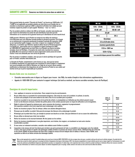# GARANTIE LIMITÉE Conservez vos tickets de caisse dans un endroit sûr.

Cette garantie limitée du produit ("Garantie du Produit") est fournie par LOUD Audio, LLC ("LOUD")et est applicable aux produits achetés aux états-Unis ou au Canada chez un revendeur ou fournisseur agréé par LOUD. La Garantie du Produit n'est valable que pour l'acheteur original du produit (ci-après appelé "l'Acheteur," "vous" ou "votre").

Pour les produits achetés en dehors des USA ou du Canada, consultez www.mackie.com pour trouver les informations de contact de votre distributeur local ainsi que des informations sur la couverture de la garantie fournie par le distributeur de votre marché local.

LOUD garantit à l'Acheteur que le Produit est exempt de tout défaut de matériaux et de fabrication pour une utilisation normale pendant la période de garantie. Si le Produit ne se conforme pas à la garantie mentionnée ici pendant la période de la garantie, LOUD ou son représentant agréé s'engage, à son choix, à réparer ou à remplacer le Produit défectueux, à considérer que l'Acheteur signale le défaut durant la Période de Garantie à la Société sur : www.mackie.com ou en appelant le support technique de LOUD au 1.800.898.3211 (appel gratuit aux états-Unis et au Canada) aux heures ouvrables normales, heure du Pacifique, à l'exception des week ends et pendant les vacances de LOUD. Merci de conserver le ticket de caisse original daté comme preuve de la date d'achat. Il vous sera demandé pour tout service de garantie.

Pour les termes et conditions complets, ainsi que pour la durée spécifique de la garantie pour ce Produit, consultez www.mackie.com.

La Garantie du Produit, conjointement à votre facture ou reçu, ainsi que les termes et conditions mentionnés sur www.mackie.com constituent le contrat intégral, et supplantent tout accord préalable entre LOUD et l'Acheteur sur l'objet de cet accord. Aucun avenant, modification ou désistement des dispositions de cette Garantie du Produit ne sera valide sauf mention écrite par la partie responsable par la présente.

| Caractéristiques techniques | <b>MC-150</b>                               | <b>MC-250</b>      |
|-----------------------------|---------------------------------------------|--------------------|
| Réponse en fréquence        | 15 Hz - 20 kHz                              | $10$ Hz $-$ 20 kHz |
| Sensibilité                 | 93 dB / mW                                  | 100 dB $/$ mW      |
| Puissance max en entrée     | 20 mW                                       |                    |
| Impédance                   | $33\,\Omega$                                | $38\,\Omega$       |
| Type de HP                  | <b>Dynamique</b>                            |                    |
| Type d'entrée               | 3,5 ou 6,35 mâle stéréo                     |                    |
| <b>Type de sorties</b>      | écouteurs gauche/droite                     |                    |
| Longueur du câble           | 117.6 in • 2987 mm                          |                    |
| Poids                       | $0.6 h \cdot 0.3 kg$                        |                    |
|                             | Les caractéristiques peuvent être modifiées |                    |

Durée, en heures par jour

Niveau sonore

8 90 dB 6 92 dB 4 95 dB 3 97 dB 2 100 dB 1.5 102 dB 1 105 dB 0.5 110 dB 0,25 ou moins 115 dB

## Besoin d'aide avec vos écouteurs ?

- Consultez www.mackie.com et cliquez sur Support pour trouver : des FAQs, les modes d'emploi et des informations supplémentaires.
- Appelez le 1-800-898-3211 pour contacter le support technique (du lundi au vendredi, aux heures ouvrables normales, heure du Pacifique).

## Consignes de sécurité importantes

- 1. Lisez, appliquez et conservez ces instructions. Tenez compte de tous les avertissements.
- 2. Ne pas utiliser dans ou à proximité d'un environnement dangereux. Cela inclus les zones où la conduite, le cyclisme, la marche, la course sont pratiqués et tout autre endroit où du trafic a lieu et où un accident peut se produire.
- 3. Conservez ce produit et ses accessoires hors de la portée des enfants. La manipulation ou l'utilisation par des enfants peuvent causer la mort ou des blessures sérieuses. Contient des petites pièces et des cordons pouvant poser un risque de suffocation ou de strangulation.
- 4. Réglez le volume de l'appareil au minimum puis, après connexion des écouteurs, augmentez-le progressivement. Une exposition soudaine à des bruits importants peut endommager votre audition.
- 5. Gardez vos écouteurs propres. Pour les nettoyer, utilisez une solution détergente douce.
- 6. N'essayez pas de modifier ce produit. Cela pourrait provoquer des blessure et/ou endommager le produit.
- 7. N'immergez pas le produit dans l'eau, par exemple en prenant une douche ou un bain. Cela peut détériorer le son ou causer des malfonctions.
- 8. Ne pas utiliser en dormant pour éviter tout accident.
- 9. Retirez les écouteurs en les tournant lentement. Ne tirez jamais sur les cordons.
- 10. Retirez les écouteurs immédiatement si une gêne importante, une irritation, des rougeurs, un écoulement ou toute autre réaction inconfortable se produit.
- 11. Si vous suivez un traitement auriculaire, consultez votre médecin avant d'utiliser ce produit.
- 12. L'exposition à des niveaux de bruit très élevés peut entraîner une perte permanente de l'ouïe. La sensibilité à ces dommages varie d'un individu à l'autre, mais tout le monde est appelé à des dommages auditifs extrêmes en présence de niveaux sonores élevés. L'Administration de la Sécurité et de la Santé (OSHA) du Gouvernement des États-Unis a publié les niveaux de bruit indiqués dans le tableau ci-dessous. Selon l'OSHA, toute exposition au-delà de ces limites entraîne des dommages auditifs.



Mise au rebut appropriée de ce produit: Ce symbole indique qu'en accord avec la directive WEEE (2012/19/EU) et les lois en vigueur dans votre pays, ce produit ne doit pas être jeté avec les déchets ménagers. Ce produit doi déposé dans un point de collecte agréé pour le recyclage des déchets d'équipements électriques et électroniques (EEE). Une mauvaise manipulation de ce type de déchets pourrait avoir un impact négatif sur l'environnement et à cause des substances potentiellement dangereuses généralement associées à ces équipements. En même temps, votre coopération dans la mise au rebut de ce produit contribuera à l'utilisation efficace des ressources naturell  $\blacksquare$  Pour plus d'informations sur l'endroit où vous pouvez déposer vos déchets d'équipements pour le recyclage, veuillez contacter votre mairie ou votre centre local de collecte des déchets.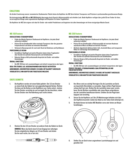## EINLEITUNG

Als direkte Erweiterung unserer renommierten Studiomonitor-Palette bieten die Kopfhörer der MC Serie höchste Transparenz und Präzision in professionellem geschlossenem Design.

Die leistungsstarken <mark>MC-150</mark> und <mark>MC-250</mark> Modelle überzeugen durch Sound in Referenzqualität und stilvollen Look. Beide Kopfhörer verfügen über große 50 mm Treiber für klare,<br>verzerrungsfreie Klänge sowie ergonomische Kop

Die Kopfhörer der MC Serie eignen sich ideal für Studio- oder mobile Produktionen und begeistern bei allen Anwendungen mit ihrem einzigartigen Mackie Sound.

## MC-150 Features

#### HOCHLEISTUNGS-STUDIOKOPFHÖRER

- Erlebe den Mackie Signature-Studiosound mit Kopfhörern, die jedes Detail authentisch abbilden
- Präzise 50 mm Schallwandler liefern maximale Transparenz über den gesamten Frequenzbereich und bieten ein intensives Hörerlebnis
- Verbesserte Bassansprache für noch mehr Druck bei Kickdrums und Synthbässen

#### PROFESSIONELLES DESIGN

- Einstellbarer Kopfbügel und weiche Ohrpolster bieten hohen Tragekomfort über Stunden bei optimaler Bassansprache und Schallisolation
- Robustes Design erfüllt professionelle Ansprüche bei Studio- und mobilen Anwendungen

## ÜBERALL EINSETZBAR

• Der MC-150 lässt sich zusammenklappen und einfach transportieren oder lagern IDEAL FÜR STUDIOS, DJS, AUSSENAUFNAHMEN UND FREIZEIT-AKTIVITÄTEN ABNEHMBARES, HOCHWERTIGES GERADES 3 M-KABEL MIT BAJONETT-ANSCHLUSS VERGOLDETER 6,3 MM ADAPTER UND TRAGETASCHE INKLUSIVE

## ERSTE SCHRITTE

1. Die Kopfhörer werden mit einem Kabel geliefert. Der 3,5 mm Stecker an einem Ende des Kabels hat zwei gegenüberliegende Kerben. Richten Sie diese auf die Kerben an den Kopfhörern aus (siehe unten), stecken Sie den Stecker vorsichtig ein und verriegeln Sie den Anschluss, indem Sie den Stecker eine Vierteldrehung nach rechts drehen.



2. Stecken Sie den 3,5 mm Stecker am anderen Ende des Kabels ins Gerät. HINWEIS: Wenn das Gerät einen 6,3 mm Eingang hat, befestigen Sie den mitgelieferten Adapter am 3,5 mm Stecker und drehen Sie ihn nach rechts, bis er fest sitzt.



## MC-250 Features

## HOCHLEISTUNGS-STUDIOKOPFHÖRER

- Erlebe den Mackie Signature-Studiosound mit Kopfhörern, die jedes Detail authentisch abbilden
- Präzise 50 mm Schallwandler in Referenzqualität mit enormem Headroom reproduzieren Mixes und Musik mit höchster Präzision
- Akribisch abgestimmte Gehäuse liefern tiefe, druckvolle Bässe und transparente Höhen für weiträumige Stereoabbildungen

## PROFESSIONELLES DESIGN

- Einstellbarer Kopfbügel und weiche Ohrpolster bieten hohen Tragekomfort über Stunden bei optimaler Bassansprache und Schallisolation
- Robustes Design erfüllt professionelle Ansprüche bei Studio- und mobilen Anwendungen

#### ÜBERALL EINSETZBAR

• Der MC-250 lässt sich zusammenklappen und einfach transportieren oder lagern

## PERFEKT FÜR MIXES, STUDIOAUFNAHMEN, QUALITÄTSKONTROLLEN UND FREIZEITAKTIVITÄTEN

ABNEHMBARES, HOCHWERTIGES GERADES 3 M-KABEL MIT BAJONETT-ANSCHLUSS VERGOLDETER 6,3 MM ADAPTER UND TRAGETASCHE INKLUSIVE

- 3. Ihre Ohren sind uns wichtig! Verringern Sie die Lautstärke am Gerät, um dauerhafte Hörschäden zu vermeiden. Sogar mittlere Pegel können schmerzhaft laut sein. Drehen Sie die Lautstärke immer ganz zurück, bevor Sie die Ohrhörer anschließen oder etwas Neues ausprobieren, das die Lautstärke beeinflussen könnte. Erhöhen Sie den Pegel dann langsam und vorsichtig.
- 4. Setzen Sie die Kopfhörer auf. Die L/R-Markierungen befinden sich über den Kopfhörermuscheln (wobei das Kabel an der linken Seite befestigt ist).
- 5. Die Kabel können bei beiden MC Modellen vorne oder hinten am Körper herabhängen..



6. Stellen Sie am Gerät einen angenehmen Lautstärkepegel ein und genießen Sie!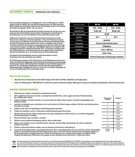## BESCHRÄNKTE GARANTIE Kaufbeleg bitte sicher aufbewahren.

Diese beschränkte Produktgarantie ("Produktgarantie") wird von LOUD Audio, LLC ("LOUD") gewährt und gilt für Produkte, die in den USA oder Kanada bei einem von LOUD autorisierten Wiederverkäufer oder Einzelhändler gekauft wurden. Die Produktgarantie gilt nur für Erstkäufer des Produkts (im Folgenden "Kunde", "Sie" oder "Ihren").

Bei außerhalb der USA oder Kanada gekauften Produkten informieren Sie sich bitte unter www. mackie.com über die Kontaktdaten unseres örtlichen Vertriebspartners und die Details der Garantieleistungen, die vom Vertriebshändler für Ihren lokalen Markt gewährt werden.

LOUD garantiert dem Kunden, dass das Produkt während der Garantiezeit bei normalem Gebrauch frei von Material- und Verarbeitungsfehlern ist. Wenn das Produkt dieser Garantie nicht entspricht, kann LOUD oder ihre autorisierte Service-Vertretung das fehlerhafte Produkt nach ihrer Einschätzung entweder reparieren oder ersetzen, vorausgesetzt dass der Kunde den Defekt innerhalb der Garantiezeit unter www.mackie.com bei der Firma meldet oder indem er den technischen Support von LOUD unter 1.800.898.3211 (gebührenfrei innerhalb der USA und Kanada) während der normalen Geschäftszeiten (SPT), mit Ausnahme von Wochenenden oder LOUD-Betriebsferien, anruft. Bitte bewahren Sie den originalen datierten Kaufbeleg als Nachweis des Kaufdatums auf. Er ist die Voraussetzung für alle Garantieleistungen.

Die kompletten Garantiebedingungen sowie die spezielle Garantiedauer für dieses Produkt können Sie unter www.mackie.com nachlesen.

Die Produktgarantie zusammen mit Ihrer Rechnung bzw. Ihrem Kaufbeleg sowie die unter www. mackie.com aufgeführten Bedingungen stellen die gesamte Vereinbarung dar, die alle bisherigen Vereinbarungen zwischen LOUD und dem Kunden bezüglich des hier behandelten Gegenstands außer Kraft setzt. Alle Nachträge, Modifikationen oder Verzichtserklärungen bezüglich der Bestimmungen dieser Produktgarantie treten erst in Kraft, wenn sie schriftlich niedergelegt und von der sich verpflichtenden Partei unterschrieben wurden.

| <b>Technische Daten</b> | <b>MC-150</b>                                     | <b>MC-250</b>      |
|-------------------------|---------------------------------------------------|--------------------|
| Frequenzgang            | 15 Hz - 20 kHz                                    | $10$ Hz $-$ 20 kHz |
| <b>Empfindlichkeit</b>  | 93 dB/mW                                          | 100 dB / mW        |
| Max. Eingangspegel      | <b>20 mW</b>                                      |                    |
| Impedanz                | $33\,\Omega$                                      | $38\,\Omega$       |
| Treibertyp              | dynamisch                                         |                    |
| <b>Eingangstyp</b>      | 3.5 mm ou 6.35 mm Stecker. Stereo                 |                    |
| Ausgangstyp             | L/R Kopfhörer                                     |                    |
| Kabellänge              | 117.6 in • 2987 mm                                |                    |
| Gewicht                 | $0,6$ lb $\cdot$ 0,3 kg                           |                    |
|                         | Technische Änderungen und Ergänzungen vorbehalten |                    |

Nutzung pro Tag in Stunden

0,25 oder weniger

Schallpegel

115 dB

8 90 dB 6 92 dB 4 **95 dB** 3 97 dB 2 100 dB 1,5 102 dB 1 105 dB 0.5 **110 dB** 

## Wenn Sie Hilfe benötigen:

- Besuchen Sie auf www.mackie.com die Rubrik Support: Hier finden Sie FAQs, Handbücher und Ergänzungen.
- Unter der Telefonnummer 1-800-898-3211 erreichen Sie unseren technischen Support (Montag bis Freitag zu den üblichen Geschäftszeiten, Pacific Standard Time).

## WICHTIGE SICHERHEITSHINWEISE

- 1. Anleitungen lesen, befolgen und aufbewahren. Warnhinweise beachten.
- 2. Nicht in gefährlichen Situationen verwenden, zum Beispiel beim Auto/Rad fahren, Laufen, Joggen und anderen Verkehrssituationen, die zu Unfällen führen können.
- 3. Produkt und Zubehör von Kindern fernhalten, da sie sich ernsthaft oder tödlich verletzen könnten. Es besteht Erstickungsgefahr durch Kleinteile und Kabel.
- 4. Lautstärke des Audiogeräts ganz zurückdrehen und erst nach Anschluss der Ohrhörer langsam aufdrehen. Plötzliche, laute Geräusche können Hörschäden verursachen.
- 5. Kopfhörer sauber halten und regelmäßig mit mildem Reinigungsmittel abwaschen.
- 6. Produkt nicht modifizieren, da dies zu Verletzungen und/oder Betriebsstörungen führen könnte.
- 7. Ohrhörer nicht beim Duschen, Baden, Gesichtwaschen oder anderen Gelegenheiten ins Wasser tauchen, um verminderte Klangqualität oder Betriebsstörungen zu vermeiden.
- 8. Nicht beim Schlafen tragen, um Unfälle zu vermeiden.
- 9. Ohrhörer mit einer langsamen Drehbewegung entfernen. Nicht am Kabel ziehen.
- 10. Ohrhörer sofort abnehmen, wenn sie starke Beschwerden, Reizungen, Hautausschläge, Absonderungen oder andere unangenehme Reaktionen verursachen.
- 11. Erlaubnis zur Nutzung der Ohrhörer einholen, wenn man aktuell bei einem Ohrenarzt in Behandlung ist.
- 12. Extrem hohe Geräuschpegel können zu dauerhaftem Gehörverlust führen. Lärmbedingter Gehörverlust tritt von Person zu Person unterschiedlich schnell ein, aber fast jeder wird einen Teil seines Gehörs verlieren, wenn er über einen Zeitraum ausreichend hohen Lärmpegeln ausgesetzt ist. Die Occupational Safety and Health Administration (OSHA) der US-Regierung hat den zulässigen Geräuschpegel in der folgenden Tabelle festgelegt. Nach Meinung der OSHA können alle Lärmpegel, die diese zulässigen Grenzen überschreiten, zu Gehörverlust führen.



Korrekte Entsorgung dieses Produkts: Diese Symbol weist darauf hin, dass das Produkt entsprechend den WEEE Richtlinien (2012/19/EU) und den Landesgesetzen nicht im Hausmüll entsorgt werden darf. Dieses Produkt sollte einer autorisierten Sammelstelle zum Recyceln von unbrauchbaren elektrischen und elektronischen Geräten (EEE) übergeben werden. Unsachgemäßer Umgang mit dieser Abfallart könnte aufgrund der in EEE enthaltenen gefährlichen Substanzen negative Auswirkungen auf die Umwelt und menschliche Gesundheit haben. Gleichzeitig tragen Sie durch Ihre Teilnahme an der korrekten Entsorgung dieses Produkts zu einer effektiven Nutzung natürlicher Ressourcen Weitere Informationen zu Annahmestellen, die unbrauchbare Geräte recyceln, erhalten Sie bei der örtlichen Stadtverwaltung, dem Entsorgungsträger oder der Müllabfuhr.